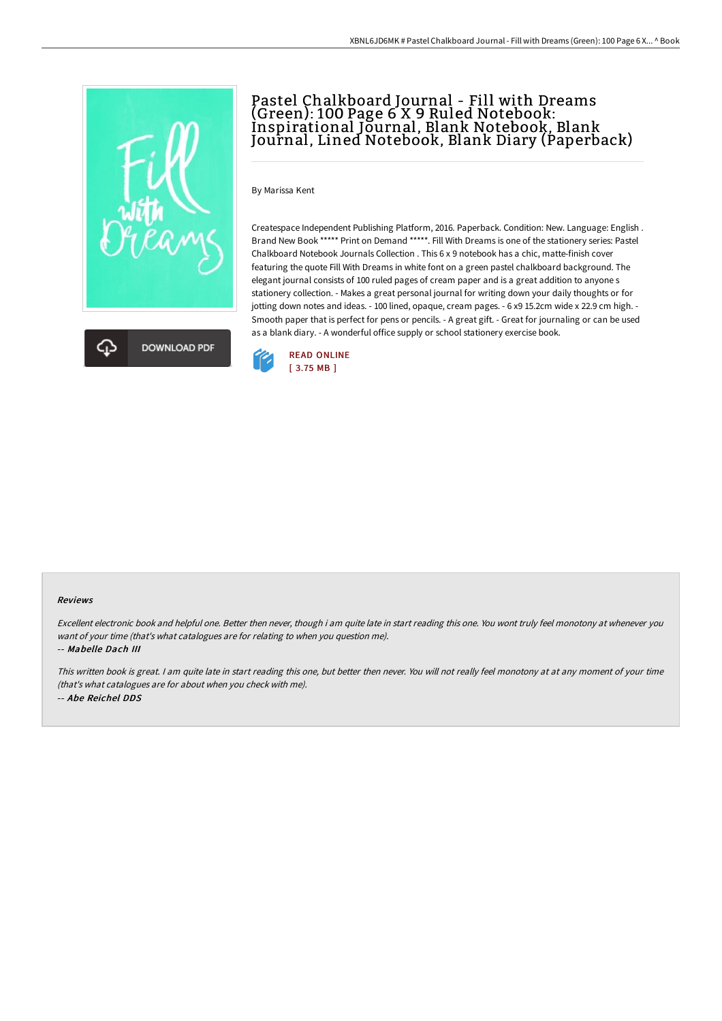



# Pastel Chalkboard Journal - Fill with Dreams (Green): 100 Page 6 X 9 Ruled Notebook: Inspirational Journal, Blank Notebook, Blank Journal, Lined Notebook, Blank Diary (Paperback)

By Marissa Kent

Createspace Independent Publishing Platform, 2016. Paperback. Condition: New. Language: English . Brand New Book \*\*\*\*\* Print on Demand \*\*\*\*\*. Fill With Dreams is one of the stationery series: Pastel Chalkboard Notebook Journals Collection . This 6 x 9 notebook has a chic, matte-finish cover featuring the quote Fill With Dreams in white font on a green pastel chalkboard background. The elegant journal consists of 100 ruled pages of cream paper and is a great addition to anyone s stationery collection. - Makes a great personal journal for writing down your daily thoughts or for jotting down notes and ideas. - 100 lined, opaque, cream pages. - 6 x9 15.2cm wide x 22.9 cm high. - Smooth paper that is perfect for pens or pencils. - A great gift. - Great for journaling or can be used as a blank diary. - A wonderful office supply or school stationery exercise book.



#### Reviews

Excellent electronic book and helpful one. Better then never, though i am quite late in start reading this one. You wont truly feel monotony at whenever you want of your time (that's what catalogues are for relating to when you question me). -- Mabelle Dach III

This written book is great. <sup>I</sup> am quite late in start reading this one, but better then never. You will not really feel monotony at at any moment of your time (that's what catalogues are for about when you check with me). -- Abe Reichel DDS